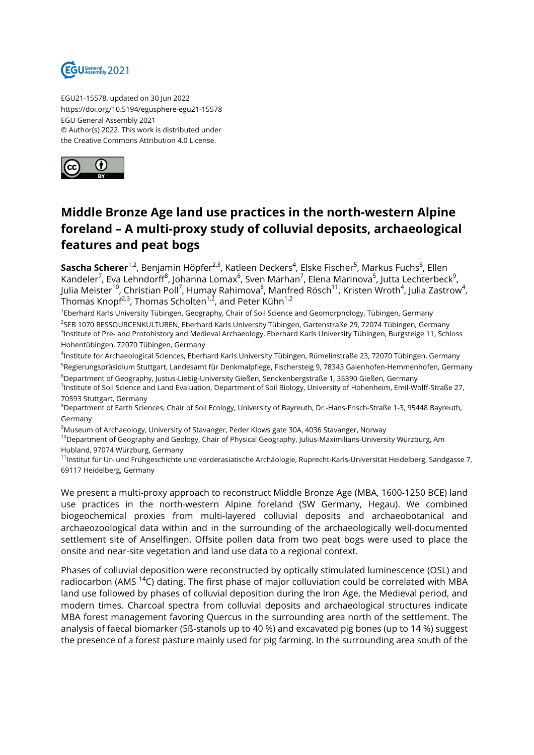

EGU21-15578, updated on 30 Jun 2022 https://doi.org/10.5194/egusphere-egu21-15578 EGU General Assembly 2021 © Author(s) 2022. This work is distributed under the Creative Commons Attribution 4.0 License.



## **Middle Bronze Age land use practices in the north-western Alpine foreland – A multi-proxy study of colluvial deposits, archaeological features and peat bogs**

**Sascha Scherer**<sup>1,2</sup>, Benjamin Höpfer<sup>2,3</sup>, Katleen Deckers<sup>4</sup>, Elske Fischer<sup>5</sup>, Markus Fuchs<sup>6</sup>, Ellen Kandeler<sup>7</sup>, Eva Lehndorff<sup>8</sup>, Johanna Lomax<sup>6</sup>, Sven Marhan<sup>7</sup>, Elena Marinova<sup>5</sup>, Jutta Lechterbeck<sup>9</sup>, Julia Meister $^{10}$ , Christian Poll<sup>7</sup>, Humay Rahimova $^8$ , Manfred Rösch $^{11}$ , Kristen Wroth $^4$ , Julia Zastrow $^4$ , Thomas Knopf $^{2,3}$ , Thomas Scholten $^{1,2}$ , and Peter Kühn $^{1,2}$ 

1 Eberhard Karls University Tübingen, Geography, Chair of Soil Science and Geomorphology, Tübingen, Germany <sup>2</sup>SFB 1070 RESSOURCENKULTUREN, Eberhard Karls University Tübingen, Gartenstraße 29, 72074 Tübingen, Germany <sup>3</sup>Institute of Pre- and Protohistory and Medieval Archaeology, Eberhard Karls University Tübingen, Burgsteige 11, Schloss Hohentübingen, 72070 Tübingen, Germany

4 Institute for Archaeological Sciences, Eberhard Karls University Tübingen, Rümelinstraße 23, 72070 Tübingen, Germany <sup>5</sup>Regierungspräsidium Stuttgart, Landesamt für Denkmalpflege, Fischersteig 9, 78343 Gaienhofen-Hemmenhofen, Germany

<sup>6</sup>Department of Geography, Justus-Liebig-University Gießen, Senckenbergstraße 1, 35390 Gießen, Germany <sup>7</sup>Institute of Soil Science and Land Evaluation, Department of Soil Biology, University of Hohenheim, Emil-Wolff-Straße 27,

70593 Stuttgart, Germany

<sup>8</sup>Department of Earth Sciences, Chair of Soil Ecology, University of Bayreuth, Dr.-Hans-Frisch-Straße 1-3, 95448 Bayreuth, Germany

<sup>9</sup>Museum of Archaeology, University of Stavanger, Peder Klows gate 30A, 4036 Stavanger, Norway

 $10$ Department of Geography and Geology, Chair of Physical Geography, Julius-Maximilians-University Würzburg, Am Hubland, 97074 Würzburg, Germany

<sup>11</sup>Institut für Ur- und Frühgeschichte und vorderasiatische Archäologie, Ruprecht-Karls-Universität Heidelberg, Sandgasse 7, 69117 Heidelberg, Germany

We present a multi-proxy approach to reconstruct Middle Bronze Age (MBA, 1600-1250 BCE) land use practices in the north-western Alpine foreland (SW Germany, Hegau). We combined biogeochemical proxies from multi-layered colluvial deposits and archaeobotanical and archaeozoological data within and in the surrounding of the archaeologically well-documented settlement site of Anselfingen. Offsite pollen data from two peat bogs were used to place the onsite and near-site vegetation and land use data to a regional context.

Phases of colluvial deposition were reconstructed by optically stimulated luminescence (OSL) and radiocarbon (AMS  $^{14}$ C) dating. The first phase of major colluviation could be correlated with MBA land use followed by phases of colluvial deposition during the Iron Age, the Medieval period, and modern times. Charcoal spectra from colluvial deposits and archaeological structures indicate MBA forest management favoring Quercus in the surrounding area north of the settlement. The analysis of faecal biomarker (5ß-stanols up to 40 %) and excavated pig bones (up to 14 %) suggest the presence of a forest pasture mainly used for pig farming. In the surrounding area south of the